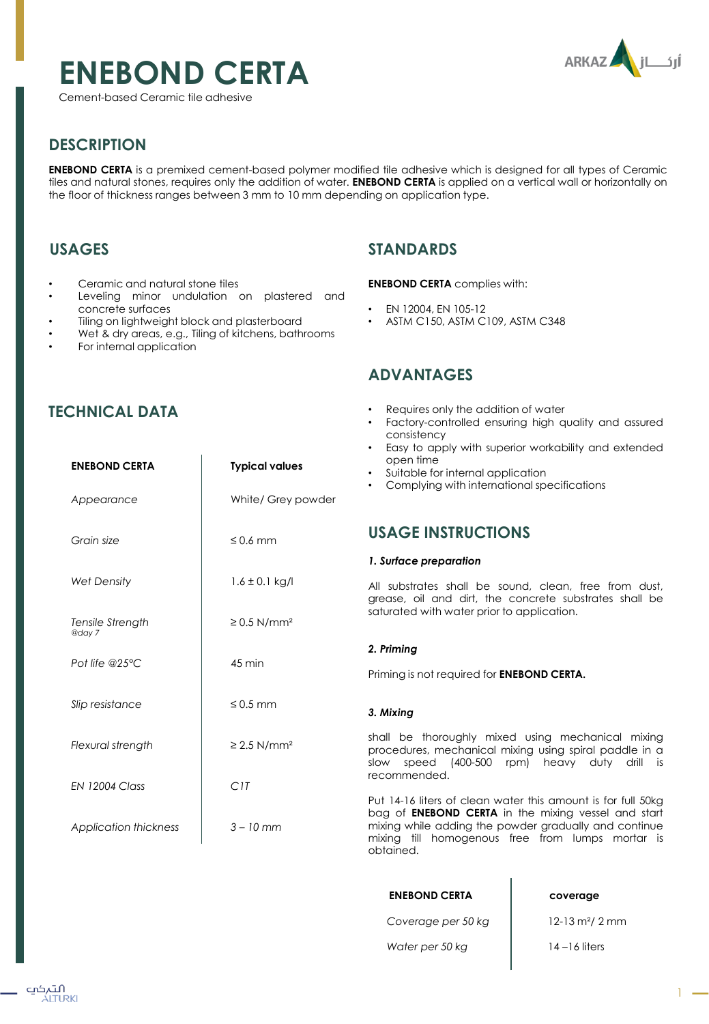# **ENEBOND CERTA**

Cement-based Ceramic tile adhesive



# **DESCRIPTION**

**ENEBOND CERTA** is a premixed cement-based polymer modified tile adhesive which is designed for all types of Ceramic tiles and natural stones, requires only the addition of water. **ENEBOND CERTA** is applied on a vertical wall or horizontally on the floor of thickness ranges between 3 mm to 10 mm depending on application type.

# **USAGES**

- Ceramic and natural stone tiles
- Leveling minor undulation on plastered and concrete surfaces
- Tiling on lightweight block and plasterboard
- Wet & dry areas, e.g., Tiling of kitchens, bathrooms

**ENEBOND CERTA Typical values**

For internal application

# **STANDARDS**

### **ENEBOND CERTA** complies with:

- EN 12004, EN 105-12
- ASTM C150, ASTM C109, ASTM C348

# **ADVANTAGES**

- Requires only the addition of water
- Factory-controlled ensuring high quality and assured consistency
- Easy to apply with superior workability and extended open time
- Suitable for internal application
- Complying with international specifications

# **USAGE INSTRUCTIONS**

### *1. Surface preparation*

All substrates shall be sound, clean, free from dust, grease, oil and dirt, the concrete substrates shall be saturated with water prior to application.

### *2. Priming*

Priming is not required for **ENEBOND CERTA.**

### *3. Mixing*

shall be thoroughly mixed using mechanical mixing procedures, mechanical mixing using spiral paddle in a slow speed (400-500 rpm) heavy duty drill is recommended.

Put 14-16 liters of clean water this amount is for full 50kg bag of **ENEBOND CERTA** in the mixing vessel and start mixing while adding the powder gradually and continue mixing till homogenous free from lumps mortar is obtained.

| <b>ENEBOND CERTA</b> | coverage                        |
|----------------------|---------------------------------|
| Coverage per 50 kg   | $12 - 13$ m <sup>2</sup> / 2 mm |
| Water per 50 kg      | $14 - 16$ liters                |

 $\overline{1}$ 

# **TECHNICAL DATA**

| Appearance                   | White/ Grey powder           |
|------------------------------|------------------------------|
| Grain size                   | $\leq 0.6$ mm                |
| <b>Wet Density</b>           | $1.6 \pm 0.1$ kg/l           |
| Tensile Strength<br>@day 7   | $\geq$ 0.5 N/mm <sup>2</sup> |
| Pot life @25 $°C$            | $45 \text{ min}$             |
| Slip resistance              | $\leq$ 0.5 mm                |
| Flexural strength            | $\geq$ 2.5 N/mm <sup>2</sup> |
| <b>EN 12004 Class</b>        | C1T                          |
| <b>Application thickness</b> | $3 - 10$ mm                  |